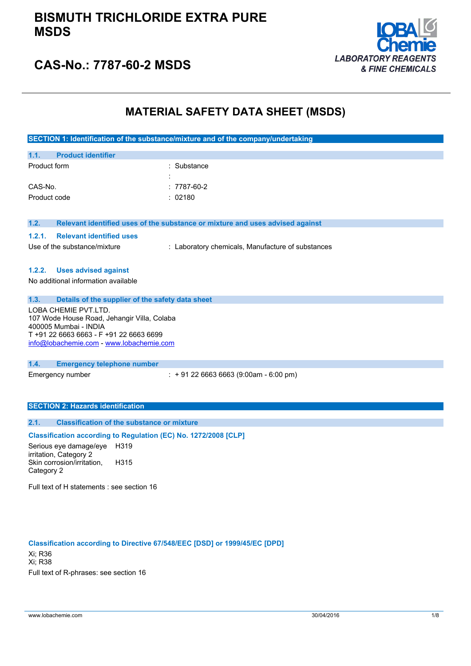## **BISMUTH TRICHLORIDE EXTRA PURE MSDS**



# **CAS-No.: 7787-60-2 MSDS**

# **MATERIAL SAFETY DATA SHEET (MSDS)**

|                                                                                                                                                                                     | SECTION 1: Identification of the substance/mixture and of the company/undertaking |  |  |  |
|-------------------------------------------------------------------------------------------------------------------------------------------------------------------------------------|-----------------------------------------------------------------------------------|--|--|--|
| <b>Product identifier</b><br>1.1.                                                                                                                                                   |                                                                                   |  |  |  |
| Product form                                                                                                                                                                        | Substance                                                                         |  |  |  |
| CAS-No.                                                                                                                                                                             | $: 7787 - 60 - 2$                                                                 |  |  |  |
| Product code                                                                                                                                                                        | : 02180                                                                           |  |  |  |
| 1.2.                                                                                                                                                                                | Relevant identified uses of the substance or mixture and uses advised against     |  |  |  |
| 1.2.1.<br><b>Relevant identified uses</b>                                                                                                                                           |                                                                                   |  |  |  |
| Use of the substance/mixture                                                                                                                                                        | : Laboratory chemicals, Manufacture of substances                                 |  |  |  |
| <b>Uses advised against</b><br>1.2.2.                                                                                                                                               |                                                                                   |  |  |  |
| No additional information available                                                                                                                                                 |                                                                                   |  |  |  |
| 1.3.<br>Details of the supplier of the safety data sheet                                                                                                                            |                                                                                   |  |  |  |
| LOBA CHEMIE PVT.LTD.<br>107 Wode House Road, Jehangir Villa, Colaba<br>400005 Mumbai - INDIA<br>T +91 22 6663 6663 - F +91 22 6663 6699<br>info@lobachemie.com - www.lobachemie.com |                                                                                   |  |  |  |
| 1.4.<br><b>Emergency telephone number</b>                                                                                                                                           |                                                                                   |  |  |  |
| Emergency number                                                                                                                                                                    | $\div$ + 91 22 6663 6663 (9:00am - 6:00 pm)                                       |  |  |  |
| <b>SECTION 2: Hazards identification</b>                                                                                                                                            |                                                                                   |  |  |  |
| <b>Classification of the substance or mixture</b><br>2.1.                                                                                                                           |                                                                                   |  |  |  |
| Classification according to Regulation (EC) No. 1272/2008 [CLP]                                                                                                                     |                                                                                   |  |  |  |
| Serious eye damage/eye<br>H319<br>irritation, Category 2<br>Skin corrosion/irritation,<br>H315<br>Category 2                                                                        |                                                                                   |  |  |  |

Full text of H statements : see section 16

**Classification according to Directive 67/548/EEC [DSD] or 1999/45/EC [DPD]** Xi; R36 Xi; R38 Full text of R-phrases: see section 16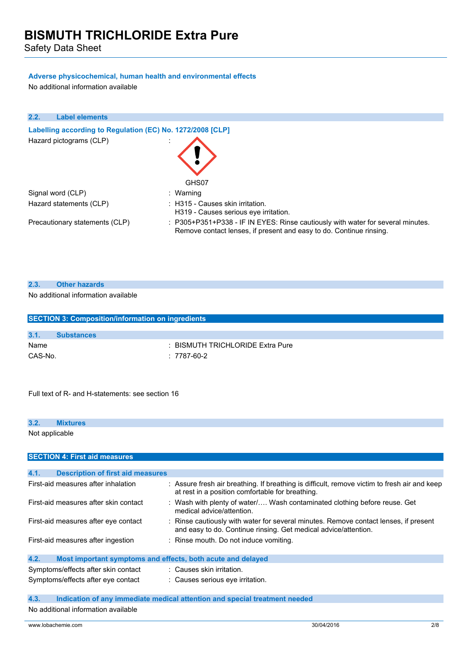Safety Data Sheet

## **Adverse physicochemical, human health and environmental effects**

No additional information available

| 2.2. | <b>Label elements</b>                                      |                                                                                                                                                        |
|------|------------------------------------------------------------|--------------------------------------------------------------------------------------------------------------------------------------------------------|
|      | Labelling according to Regulation (EC) No. 1272/2008 [CLP] |                                                                                                                                                        |
|      | Hazard pictograms (CLP)                                    | GHS07                                                                                                                                                  |
|      | Signal word (CLP)                                          | : Warning                                                                                                                                              |
|      | Hazard statements (CLP)                                    | $\therefore$ H315 - Causes skin irritation.<br>H319 - Causes serious eve irritation.                                                                   |
|      | Precautionary statements (CLP)                             | : P305+P351+P338 - IF IN EYES: Rinse cautiously with water for several minutes.<br>Remove contact lenses, if present and easy to do. Continue rinsing. |

### **2.3. Other hazards**

## No additional information available

| <b>SECTION 3: Composition/information on ingredients</b> |                   |                                |  |  |
|----------------------------------------------------------|-------------------|--------------------------------|--|--|
| 3.1.                                                     | <b>Substances</b> |                                |  |  |
| Name                                                     |                   | BISMUTH TRICHLORIDE Extra Pure |  |  |
| CAS-No.                                                  |                   | : 7787-60-2                    |  |  |
|                                                          |                   |                                |  |  |

Full text of R- and H-statements: see section 16

| 3.2. | <b>Mixtures</b> |  |  |  |  |  |  |  |
|------|-----------------|--|--|--|--|--|--|--|
|      | Not applicable  |  |  |  |  |  |  |  |
|      |                 |  |  |  |  |  |  |  |

| <b>SECTION 4: First aid measures</b>                                |                                                                                                                                                         |
|---------------------------------------------------------------------|---------------------------------------------------------------------------------------------------------------------------------------------------------|
|                                                                     |                                                                                                                                                         |
| 4.1.<br><b>Description of first aid measures</b>                    |                                                                                                                                                         |
| First-aid measures after inhalation                                 | : Assure fresh air breathing. If breathing is difficult, remove victim to fresh air and keep<br>at rest in a position comfortable for breathing.        |
| First-aid measures after skin contact                               | : Wash with plenty of water Wash contaminated clothing before reuse. Get<br>medical advice/attention.                                                   |
| First-aid measures after eye contact                                | : Rinse cautiously with water for several minutes. Remove contact lenses, if present<br>and easy to do. Continue rinsing. Get medical advice/attention. |
| First-aid measures after ingestion                                  | : Rinse mouth. Do not induce vomiting.                                                                                                                  |
| 4.2.<br>Most important symptoms and effects, both acute and delayed |                                                                                                                                                         |
| Symptoms/effects after skin contact                                 | : Causes skin irritation.                                                                                                                               |
| Symptoms/effects after eye contact                                  | : Causes serious eye irritation.                                                                                                                        |

## **4.3. Indication of any immediate medical attention and special treatment needed**

No additional information available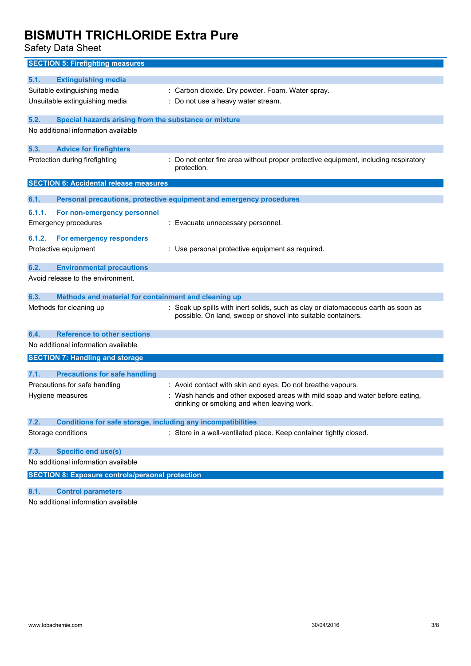Safety Data Sheet

| <b>SECTION 5: Firefighting measures</b>                                                    |                                                                                   |
|--------------------------------------------------------------------------------------------|-----------------------------------------------------------------------------------|
| 5.1.<br><b>Extinguishing media</b>                                                         |                                                                                   |
| Suitable extinguishing media                                                               | : Carbon dioxide. Dry powder. Foam. Water spray.                                  |
| Unsuitable extinguishing media                                                             | : Do not use a heavy water stream.                                                |
|                                                                                            |                                                                                   |
| 5.2.<br>Special hazards arising from the substance or mixture                              |                                                                                   |
| No additional information available                                                        |                                                                                   |
| <b>Advice for firefighters</b><br>5.3.                                                     |                                                                                   |
| Protection during firefighting                                                             | Do not enter fire area without proper protective equipment, including respiratory |
|                                                                                            | protection.                                                                       |
| <b>SECTION 6: Accidental release measures</b>                                              |                                                                                   |
|                                                                                            |                                                                                   |
| 6.1.                                                                                       | Personal precautions, protective equipment and emergency procedures               |
| 6.1.1.<br>For non-emergency personnel                                                      |                                                                                   |
| <b>Emergency procedures</b>                                                                | : Evacuate unnecessary personnel.                                                 |
| 6.1.2.<br>For emergency responders                                                         |                                                                                   |
| Protective equipment                                                                       | : Use personal protective equipment as required.                                  |
|                                                                                            |                                                                                   |
| 6.2.<br><b>Environmental precautions</b>                                                   |                                                                                   |
| Avoid release to the environment.                                                          |                                                                                   |
| 6.3.<br>Methods and material for containment and cleaning up                               |                                                                                   |
| Methods for cleaning up                                                                    | : Soak up spills with inert solids, such as clay or diatomaceous earth as soon as |
|                                                                                            | possible. On land, sweep or shovel into suitable containers.                      |
|                                                                                            |                                                                                   |
| 6.4.<br><b>Reference to other sections</b>                                                 |                                                                                   |
| No additional information available                                                        |                                                                                   |
| <b>SECTION 7: Handling and storage</b>                                                     |                                                                                   |
| 7.1.<br><b>Precautions for safe handling</b>                                               |                                                                                   |
| Precautions for safe handling                                                              | : Avoid contact with skin and eyes. Do not breathe vapours.                       |
| Hygiene measures                                                                           | : Wash hands and other exposed areas with mild soap and water before eating,      |
|                                                                                            | drinking or smoking and when leaving work.                                        |
|                                                                                            |                                                                                   |
| Conditions for safe storage, including any incompatibilities<br>7.2.<br>Storage conditions | : Store in a well-ventilated place. Keep container tightly closed.                |
|                                                                                            |                                                                                   |
| <b>Specific end use(s)</b><br>7.3.                                                         |                                                                                   |
| No additional information available                                                        |                                                                                   |
| <b>SECTION 8: Exposure controls/personal protection</b>                                    |                                                                                   |
|                                                                                            |                                                                                   |
| 8.1.<br><b>Control parameters</b>                                                          |                                                                                   |
| No additional information available                                                        |                                                                                   |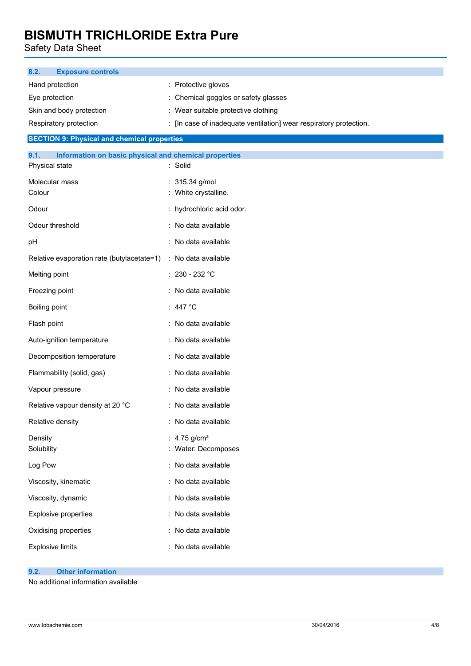Safety Data Sheet

| <b>Exposure controls</b><br>8.2.                              |                                                                    |  |  |  |
|---------------------------------------------------------------|--------------------------------------------------------------------|--|--|--|
| Hand protection                                               | : Protective gloves                                                |  |  |  |
| Eye protection                                                | : Chemical goggles or safety glasses                               |  |  |  |
| Skin and body protection                                      | : Wear suitable protective clothing                                |  |  |  |
| Respiratory protection                                        | : [In case of inadequate ventilation] wear respiratory protection. |  |  |  |
| <b>SECTION 9: Physical and chemical properties</b>            |                                                                    |  |  |  |
| 9.1.<br>Information on basic physical and chemical properties |                                                                    |  |  |  |
| Physical state                                                | : Solid                                                            |  |  |  |
| Molecular mass                                                | : 315.34 g/mol                                                     |  |  |  |
| Colour                                                        | : White crystalline.                                               |  |  |  |
| Odour                                                         | : hydrochloric acid odor.                                          |  |  |  |
| Odour threshold                                               | : No data available                                                |  |  |  |
| pH                                                            | : No data available                                                |  |  |  |
| Relative evaporation rate (butylacetate=1)                    | : No data available                                                |  |  |  |
| Melting point                                                 | $: 230 - 232 °C$                                                   |  |  |  |
| Freezing point                                                | : No data available                                                |  |  |  |
| Boiling point                                                 | : 447 $^{\circ}$ C                                                 |  |  |  |
| Flash point                                                   | : No data available                                                |  |  |  |
| Auto-ignition temperature                                     | : No data available                                                |  |  |  |
| Decomposition temperature                                     | : No data available                                                |  |  |  |
| Flammability (solid, gas)                                     | : No data available                                                |  |  |  |
| Vapour pressure                                               | : No data available                                                |  |  |  |
| Relative vapour density at 20 °C                              | : No data available                                                |  |  |  |
| Relative density                                              | : No data available                                                |  |  |  |
| Density                                                       | : $4.75$ g/cm <sup>3</sup>                                         |  |  |  |
| Solubility                                                    | : Water: Decomposes                                                |  |  |  |
| Log Pow                                                       | : No data available                                                |  |  |  |
| Viscosity, kinematic                                          | : No data available                                                |  |  |  |
| Viscosity, dynamic                                            | : No data available                                                |  |  |  |
| Explosive properties                                          | : No data available                                                |  |  |  |
| Oxidising properties                                          | : No data available                                                |  |  |  |
| <b>Explosive limits</b>                                       | : No data available                                                |  |  |  |
|                                                               |                                                                    |  |  |  |

## **9.2. Other information**

No additional information available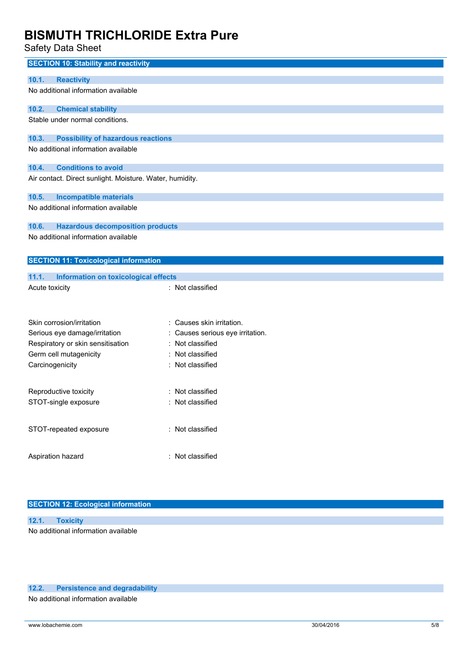Safety Data Sheet

| <b>SECTION 10: Stability and reactivity</b>              |                                |
|----------------------------------------------------------|--------------------------------|
| <b>Reactivity</b><br>10.1.                               |                                |
| No additional information available                      |                                |
|                                                          |                                |
| 10.2.<br><b>Chemical stability</b>                       |                                |
| Stable under normal conditions.                          |                                |
|                                                          |                                |
| 10.3.<br><b>Possibility of hazardous reactions</b>       |                                |
| No additional information available                      |                                |
| <b>Conditions to avoid</b><br>10.4.                      |                                |
| Air contact. Direct sunlight. Moisture. Water, humidity. |                                |
|                                                          |                                |
| 10.5.<br><b>Incompatible materials</b>                   |                                |
| No additional information available                      |                                |
|                                                          |                                |
| 10.6.<br><b>Hazardous decomposition products</b>         |                                |
| No additional information available                      |                                |
|                                                          |                                |
| <b>SECTION 11: Toxicological information</b>             |                                |
| 11.1.<br>Information on toxicological effects            |                                |
| Acute toxicity                                           | : Not classified               |
|                                                          |                                |
|                                                          |                                |
| Skin corrosion/irritation                                | Causes skin irritation.        |
| Serious eye damage/irritation                            | Causes serious eye irritation. |
| Respiratory or skin sensitisation                        | Not classified                 |
| Germ cell mutagenicity                                   | Not classified                 |
| Carcinogenicity                                          | : Not classified               |
|                                                          |                                |
|                                                          |                                |
| Reproductive toxicity                                    | Not classified                 |
| STOT-single exposure                                     | Not classified                 |
|                                                          |                                |
| STOT-repeated exposure                                   | : Not classified               |
|                                                          |                                |
|                                                          |                                |
| Aspiration hazard                                        | : Not classified               |
|                                                          |                                |

## **SECTION 12: Ecological information**

| 12.1. Toxicity                      |  |
|-------------------------------------|--|
| No additional information available |  |

## **12.2. Persistence and degradability**

No additional information available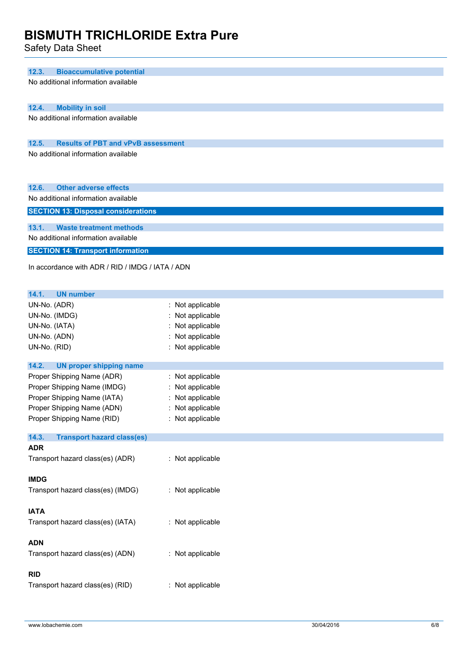Safety Data Sheet

| <b>Bioaccumulative potential</b><br>12.3.                 |                                      |
|-----------------------------------------------------------|--------------------------------------|
| No additional information available                       |                                      |
|                                                           |                                      |
| 12.4.<br><b>Mobility in soil</b>                          |                                      |
| No additional information available                       |                                      |
|                                                           |                                      |
| 12.5.<br><b>Results of PBT and vPvB assessment</b>        |                                      |
| No additional information available                       |                                      |
|                                                           |                                      |
|                                                           |                                      |
| 12.6.<br><b>Other adverse effects</b>                     |                                      |
| No additional information available                       |                                      |
| <b>SECTION 13: Disposal considerations</b>                |                                      |
|                                                           |                                      |
| 13.1.<br><b>Waste treatment methods</b>                   |                                      |
| No additional information available                       |                                      |
| <b>SECTION 14: Transport information</b>                  |                                      |
| In accordance with ADR / RID / IMDG / IATA / ADN          |                                      |
|                                                           |                                      |
|                                                           |                                      |
| 14.1.<br><b>UN number</b>                                 |                                      |
| UN-No. (ADR)                                              | : Not applicable                     |
| UN-No. (IMDG)                                             | : Not applicable                     |
| UN-No. (IATA)                                             | : Not applicable                     |
| UN-No. (ADN)                                              | : Not applicable                     |
| UN-No. (RID)                                              | : Not applicable                     |
| 14.2.                                                     |                                      |
| <b>UN proper shipping name</b>                            |                                      |
| Proper Shipping Name (ADR)<br>Proper Shipping Name (IMDG) | : Not applicable<br>: Not applicable |
| Proper Shipping Name (IATA)                               | : Not applicable                     |
| Proper Shipping Name (ADN)                                | : Not applicable                     |
| Proper Shipping Name (RID)                                | : Not applicable                     |
|                                                           |                                      |
| 14.3.<br><b>Transport hazard class(es)</b>                |                                      |
| <b>ADR</b>                                                |                                      |
| Transport hazard class(es) (ADR)                          | : Not applicable                     |
|                                                           |                                      |
| <b>IMDG</b>                                               |                                      |
| Transport hazard class(es) (IMDG)                         | : Not applicable                     |
|                                                           |                                      |
| <b>IATA</b>                                               |                                      |
| Transport hazard class(es) (IATA)                         | : Not applicable                     |
|                                                           |                                      |
| <b>ADN</b>                                                |                                      |
| Transport hazard class(es) (ADN)                          | : Not applicable                     |
|                                                           |                                      |
| <b>RID</b>                                                |                                      |
| Transport hazard class(es) (RID)                          | : Not applicable                     |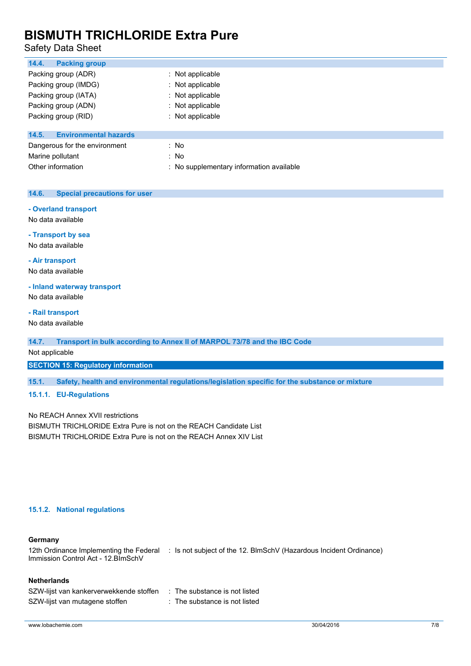## Safety Data Sheet

| 14.4.<br><b>Packing group</b>         |                                          |
|---------------------------------------|------------------------------------------|
| Packing group (ADR)                   | : Not applicable                         |
| Packing group (IMDG)                  | : Not applicable                         |
| Packing group (IATA)                  | : Not applicable                         |
| Packing group (ADN)                   | : Not applicable                         |
| Packing group (RID)                   | : Not applicable                         |
| <b>Environmental hazards</b><br>14.5. |                                          |
| Dangerous for the environment         | : No                                     |
| Marine pollutant                      | : No                                     |
| Other information                     | : No supplementary information available |
|                                       |                                          |

## **14.6. Special precautions for user**

#### **- Overland transport**

No data available

**- Transport by sea**

No data available

**- Air transport**

No data available

#### **- Inland waterway transport**

No data available

### **- Rail transport**

No data available

#### **14.7. Transport in bulk according to Annex II of MARPOL 73/78 and the IBC Code**

Not applicable

## **SECTION 15: Regulatory information**

**15.1. Safety, health and environmental regulations/legislation specific for the substance or mixture**

## **15.1.1. EU-Regulations**

No REACH Annex XVII restrictions BISMUTH TRICHLORIDE Extra Pure is not on the REACH Candidate List BISMUTH TRICHLORIDE Extra Pure is not on the REACH Annex XIV List

## **15.1.2. National regulations**

#### **Germany**

12th Ordinance Implementing the Federal : Is not subject of the 12. BlmSchV (Hazardous Incident Ordinance) Immission Control Act - 12.BImSchV

## **Netherlands**

| SZW-lijst van kankerverwekkende stoffen | : The substance is not listed |
|-----------------------------------------|-------------------------------|
| SZW-lijst van mutagene stoffen          | : The substance is not listed |